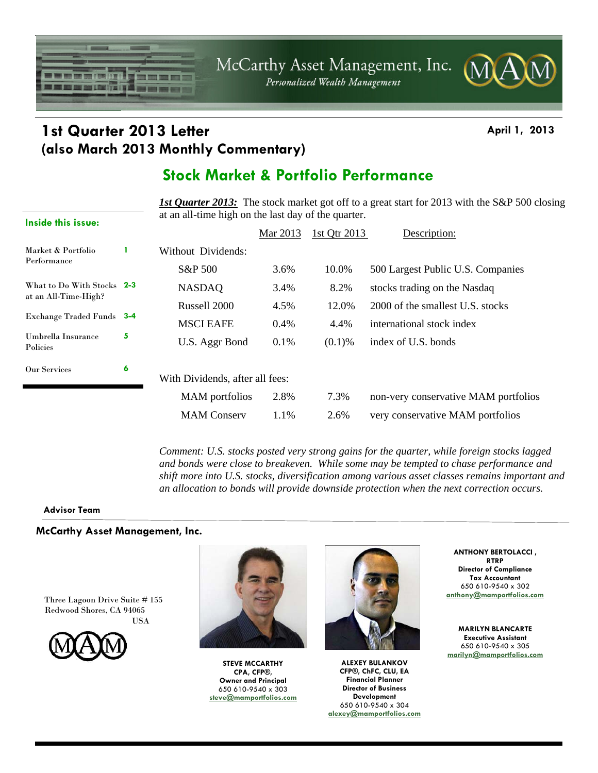

## **1st Quarter 2013 Letter April 1, 2013 (also March 2013 Monthly Commentary)**

## **Stock Market & Portfolio Performance**

**1st Quarter 2013:** The stock market got off to a great start for 2013 with the S&P 500 closing at an all-time high on the last day of the quarter.

|                                                                                        |   |                                 | Mar 2013 | 1st Qtr 2013 | Description:                         |
|----------------------------------------------------------------------------------------|---|---------------------------------|----------|--------------|--------------------------------------|
| Market & Portfolio<br>Performance                                                      |   | Without Dividends:              |          |              |                                      |
|                                                                                        |   | S&P 500                         | 3.6%     | 10.0%        | 500 Largest Public U.S. Companies    |
| What to Do With Stocks 2-3<br>at an All-Time-High?<br><b>Exchange Traded Funds</b> 3-4 |   | <b>NASDAQ</b>                   | 3.4%     | 8.2%         | stocks trading on the Nasdaq         |
|                                                                                        |   | Russell 2000                    | 4.5%     | 12.0%        | 2000 of the smallest U.S. stocks     |
|                                                                                        |   | <b>MSCI EAFE</b>                | 0.4%     | 4.4%         | international stock index            |
| Umbrella Insurance<br>Policies                                                         | 5 | U.S. Aggr Bond                  | 0.1%     | $(0.1)$ %    | index of U.S. bonds                  |
| <b>Our Services</b>                                                                    | 6 | With Dividends, after all fees: |          |              |                                      |
|                                                                                        |   | <b>MAM</b> portfolios           | 2.8%     | 7.3%         | non-very conservative MAM portfolios |
|                                                                                        |   | <b>MAM</b> Conserv              | 1.1%     | 2.6%         | very conservative MAM portfolios     |
|                                                                                        |   |                                 |          |              |                                      |

*Comment: U.S. stocks posted very strong gains for the quarter, while foreign stocks lagged and bonds were close to breakeven. While some may be tempted to chase performance and shift more into U.S. stocks, diversification among various asset classes remains important and an allocation to bonds will provide downside protection when the next correction occurs.* 

### **Advisor Team**

**Inside this issue:** 

### **McCarthy Asset Management, Inc.**

Three Lagoon Drive Suite # 155 Redwood Shores, CA 94065 USA

$$
\text{MAM}
$$



**STEVE MCCARTHY CPA, CFP®, Owner and Principal**  650 610-9540 x 303 **steve@mamportfolios.com**



**ALEXEY BULANKOV CFP®, ChFC, CLU, EA Financial Planner Director of Business Development**  650 610-9540 x 304 **alexey@mamportfolios.com**

**ANTHONY BERTOLACCI , RTRP Director of Compliance Tax Accountant**  650 610-9540 x 302 **anthony@mamportfolios.com**

**MARILYN BLANCARTE Executive Assistant**  650 610-9540 x 305 **marilyn@mamportfolios.com**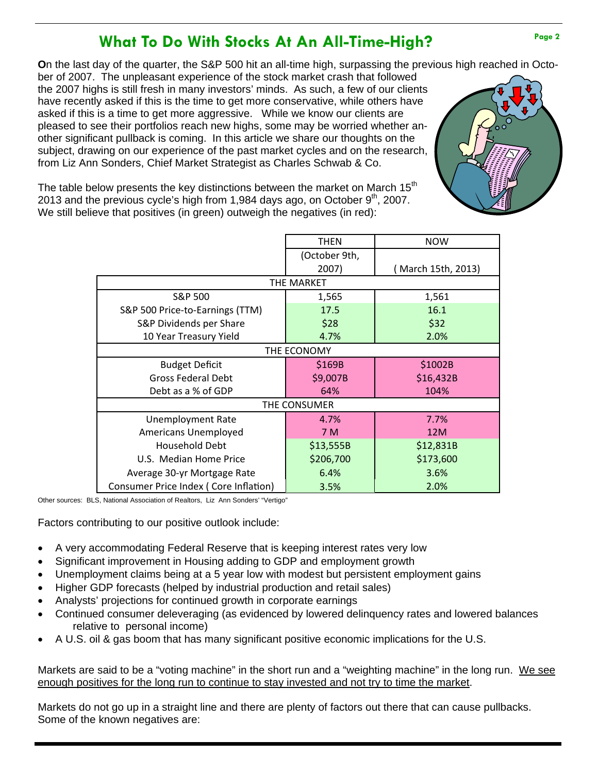## What To Do With Stocks At An All-Time-High?

**O**n the last day of the quarter, the S&P 500 hit an all-time high, surpassing the previous high reached in Octo-

ber of 2007. The unpleasant experience of the stock market crash that followed the 2007 highs is still fresh in many investors' minds. As such, a few of our clients have recently asked if this is the time to get more conservative, while others have asked if this is a time to get more aggressive. While we know our clients are pleased to see their portfolios reach new highs, some may be worried whether another significant pullback is coming. In this article we share our thoughts on the subject, drawing on our experience of the past market cycles and on the research, from Liz Ann Sonders, Chief Market Strategist as Charles Schwab & Co.



The table below presents the key distinctions between the market on March  $15<sup>th</sup>$ 2013 and the previous cycle's high from 1,984 days ago, on October  $9<sup>th</sup>$ , 2007. We still believe that positives (in green) outweigh the negatives (in red):

|                                       | <b>THEN</b>   | <b>NOW</b>         |  |  |  |  |  |
|---------------------------------------|---------------|--------------------|--|--|--|--|--|
|                                       | (October 9th, |                    |  |  |  |  |  |
|                                       | 2007)         | (March 15th, 2013) |  |  |  |  |  |
| THE MARKET                            |               |                    |  |  |  |  |  |
| S&P 500                               | 1,565         | 1,561              |  |  |  |  |  |
| S&P 500 Price-to-Earnings (TTM)       | 17.5          | 16.1               |  |  |  |  |  |
| S&P Dividends per Share               | \$28          | \$32               |  |  |  |  |  |
| 10 Year Treasury Yield                | 4.7%          | 2.0%               |  |  |  |  |  |
| THE ECONOMY                           |               |                    |  |  |  |  |  |
| <b>Budget Deficit</b>                 | \$169B        | \$1002B            |  |  |  |  |  |
| <b>Gross Federal Debt</b>             | \$9,007B      | \$16,432B          |  |  |  |  |  |
| Debt as a % of GDP                    | 64%           | 104%               |  |  |  |  |  |
| THE CONSUMER                          |               |                    |  |  |  |  |  |
| <b>Unemployment Rate</b>              | 4.7%          | 7.7%               |  |  |  |  |  |
| <b>Americans Unemployed</b>           | 7 M           | 12M                |  |  |  |  |  |
| Household Debt                        | \$13,555B     | \$12,831B          |  |  |  |  |  |
| U.S. Median Home Price                | \$206,700     | \$173,600          |  |  |  |  |  |
| Average 30-yr Mortgage Rate           | 6.4%          | 3.6%               |  |  |  |  |  |
| Consumer Price Index (Core Inflation) | 3.5%          | 2.0%               |  |  |  |  |  |

Other sources: BLS, National Association of Realtors, Liz Ann Sonders' "Vertigo"

Factors contributing to our positive outlook include:

- A very accommodating Federal Reserve that is keeping interest rates very low
- Significant improvement in Housing adding to GDP and employment growth
- Unemployment claims being at a 5 year low with modest but persistent employment gains
- Higher GDP forecasts (helped by industrial production and retail sales)
- Analysts' projections for continued growth in corporate earnings
- Continued consumer deleveraging (as evidenced by lowered delinquency rates and lowered balances relative to personal income)
- A U.S. oil & gas boom that has many significant positive economic implications for the U.S.

Markets are said to be a "voting machine" in the short run and a "weighting machine" in the long run. We see enough positives for the long run to continue to stay invested and not try to time the market.

Markets do not go up in a straight line and there are plenty of factors out there that can cause pullbacks. Some of the known negatives are: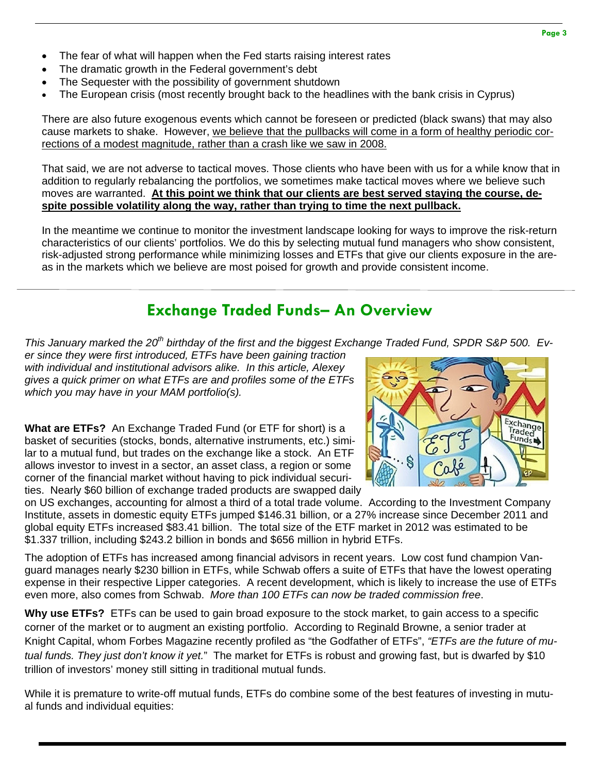- The fear of what will happen when the Fed starts raising interest rates
- The dramatic growth in the Federal government's debt
- The Sequester with the possibility of government shutdown
- The European crisis (most recently brought back to the headlines with the bank crisis in Cyprus)

There are also future exogenous events which cannot be foreseen or predicted (black swans) that may also cause markets to shake. However, we believe that the pullbacks will come in a form of healthy periodic corrections of a modest magnitude, rather than a crash like we saw in 2008.

That said, we are not adverse to tactical moves. Those clients who have been with us for a while know that in addition to regularly rebalancing the portfolios, we sometimes make tactical moves where we believe such moves are warranted. **At this point we think that our clients are best served staying the course, despite possible volatility along the way, rather than trying to time the next pullback.**

In the meantime we continue to monitor the investment landscape looking for ways to improve the risk-return characteristics of our clients' portfolios. We do this by selecting mutual fund managers who show consistent, risk-adjusted strong performance while minimizing losses and ETFs that give our clients exposure in the areas in the markets which we believe are most poised for growth and provide consistent income.

## **Exchange Traded Funds– An Overview**

*This January marked the 20th birthday of the first and the biggest Exchange Traded Fund, SPDR S&P 500. Ev-*

*er since they were first introduced, ETFs have been gaining traction with individual and institutional advisors alike. In this article, Alexey gives a quick primer on what ETFs are and profiles some of the ETFs which you may have in your MAM portfolio(s).* 

**What are ETFs?** An Exchange Traded Fund (or ETF for short) is a basket of securities (stocks, bonds, alternative instruments, etc.) similar to a mutual fund, but trades on the exchange like a stock. An ETF allows investor to invest in a sector, an asset class, a region or some corner of the financial market without having to pick individual securities. Nearly \$60 billion of exchange traded products are swapped daily



on US exchanges, accounting for almost a third of a total trade volume. According to the Investment Company Institute, assets in domestic equity ETFs jumped \$146.31 billion, or a 27% increase since December 2011 and global equity ETFs increased \$83.41 billion. The total size of the ETF market in 2012 was estimated to be \$1.337 trillion, including \$243.2 billion in bonds and \$656 million in hybrid ETFs.

The adoption of ETFs has increased among financial advisors in recent years. Low cost fund champion Vanguard manages nearly \$230 billion in ETFs, while Schwab offers a suite of ETFs that have the lowest operating expense in their respective Lipper categories. A recent development, which is likely to increase the use of ETFs even more, also comes from Schwab. *More than 100 ETFs can now be traded commission free*.

**Why use ETFs?** ETFs can be used to gain broad exposure to the stock market, to gain access to a specific corner of the market or to augment an existing portfolio. According to Reginald Browne, a senior trader at Knight Capital, whom Forbes Magazine recently profiled as "the Godfather of ETFs", *"ETFs are the future of mutual funds. They just don't know it yet.*" The market for ETFs is robust and growing fast, but is dwarfed by \$10 trillion of investors' money still sitting in traditional mutual funds.

While it is premature to write-off mutual funds, ETFs do combine some of the best features of investing in mutual funds and individual equities: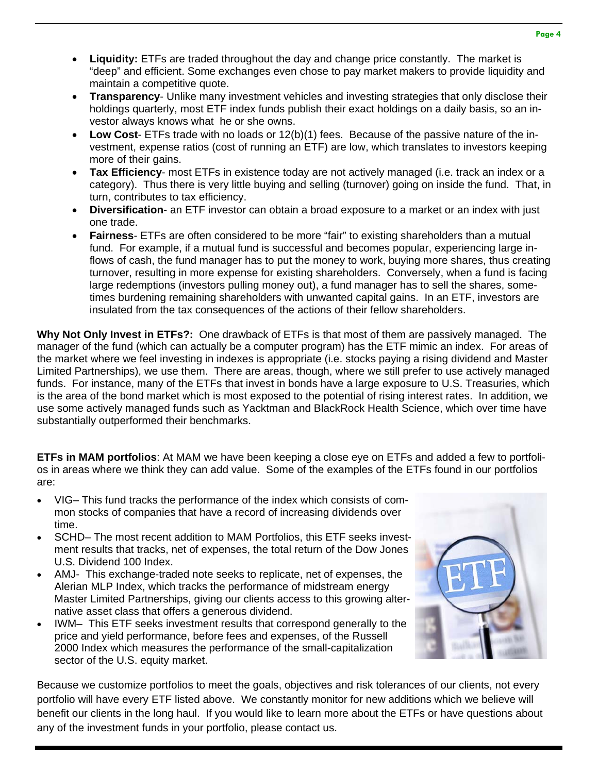- **Liquidity:** ETFs are traded throughout the day and change price constantly. The market is "deep" and efficient. Some exchanges even chose to pay market makers to provide liquidity and maintain a competitive quote.
- **Transparency** Unlike many investment vehicles and investing strategies that only disclose their holdings quarterly, most ETF index funds publish their exact holdings on a daily basis, so an investor always knows what he or she owns.
- **Low Cost** ETFs trade with no loads or 12(b)(1) fees. Because of the passive nature of the investment, expense ratios (cost of running an ETF) are low, which translates to investors keeping more of their gains.
- **Tax Efficiency** most ETFs in existence today are not actively managed (i.e. track an index or a category). Thus there is very little buying and selling (turnover) going on inside the fund. That, in turn, contributes to tax efficiency.
- **Diversification** an ETF investor can obtain a broad exposure to a market or an index with just one trade.
- **Fairness** ETFs are often considered to be more "fair" to existing shareholders than a mutual fund. For example, if a mutual fund is successful and becomes popular, experiencing large inflows of cash, the fund manager has to put the money to work, buying more shares, thus creating turnover, resulting in more expense for existing shareholders. Conversely, when a fund is facing large redemptions (investors pulling money out), a fund manager has to sell the shares, sometimes burdening remaining shareholders with unwanted capital gains. In an ETF, investors are insulated from the tax consequences of the actions of their fellow shareholders.

**Why Not Only Invest in ETFs?:** One drawback of ETFs is that most of them are passively managed. The manager of the fund (which can actually be a computer program) has the ETF mimic an index. For areas of the market where we feel investing in indexes is appropriate (i.e. stocks paying a rising dividend and Master Limited Partnerships), we use them. There are areas, though, where we still prefer to use actively managed funds. For instance, many of the ETFs that invest in bonds have a large exposure to U.S. Treasuries, which is the area of the bond market which is most exposed to the potential of rising interest rates. In addition, we use some actively managed funds such as Yacktman and BlackRock Health Science, which over time have substantially outperformed their benchmarks.

**ETFs in MAM portfolios**: At MAM we have been keeping a close eye on ETFs and added a few to portfolios in areas where we think they can add value. Some of the examples of the ETFs found in our portfolios are:

- VIG– This fund tracks the performance of the index which consists of common stocks of companies that have a record of increasing dividends over time.
- SCHD– The most recent addition to MAM Portfolios, this ETF seeks investment results that tracks, net of expenses, the total return of the Dow Jones U.S. Dividend 100 Index.
- AMJ- This exchange-traded note seeks to replicate, net of expenses, the Alerian MLP Index, which tracks the performance of midstream energy Master Limited Partnerships, giving our clients access to this growing alternative asset class that offers a generous dividend.
- IWM– This ETF seeks investment results that correspond generally to the price and yield performance, before fees and expenses, of the Russell 2000 Index which measures the performance of the small-capitalization sector of the U.S. equity market.



Because we customize portfolios to meet the goals, objectives and risk tolerances of our clients, not every portfolio will have every ETF listed above. We constantly monitor for new additions which we believe will benefit our clients in the long haul. If you would like to learn more about the ETFs or have questions about any of the investment funds in your portfolio, please contact us.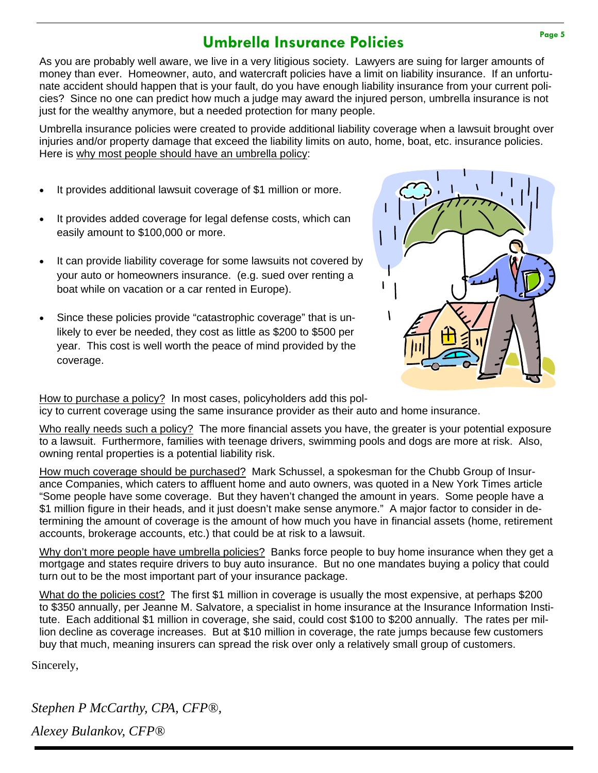# **Umbrella Insurance Policies Page 5**

As you are probably well aware, we live in a very litigious society. Lawyers are suing for larger amounts of money than ever. Homeowner, auto, and watercraft policies have a limit on liability insurance. If an unfortunate accident should happen that is your fault, do you have enough liability insurance from your current policies? Since no one can predict how much a judge may award the injured person, umbrella insurance is not just for the wealthy anymore, but a needed protection for many people.

Umbrella insurance policies were created to provide additional liability coverage when a lawsuit brought over injuries and/or property damage that exceed the liability limits on auto, home, boat, etc. insurance policies. Here is why most people should have an umbrella policy:

- It provides additional lawsuit coverage of \$1 million or more.
- It provides added coverage for legal defense costs, which can easily amount to \$100,000 or more.
- It can provide liability coverage for some lawsuits not covered by your auto or homeowners insurance. (e.g. sued over renting a boat while on vacation or a car rented in Europe).
- Since these policies provide "catastrophic coverage" that is unlikely to ever be needed, they cost as little as \$200 to \$500 per year. This cost is well worth the peace of mind provided by the coverage.



How to purchase a policy? In most cases, policyholders add this policy to current coverage using the same insurance provider as their auto and home insurance.

Who really needs such a policy? The more financial assets you have, the greater is your potential exposure to a lawsuit. Furthermore, families with teenage drivers, swimming pools and dogs are more at risk. Also, owning rental properties is a potential liability risk.

How much coverage should be purchased? Mark Schussel, a spokesman for the Chubb Group of Insurance Companies, which caters to affluent home and auto owners, was quoted in a New York Times article "Some people have some coverage. But they haven't changed the amount in years. Some people have a \$1 million figure in their heads, and it just doesn't make sense anymore." A major factor to consider in determining the amount of coverage is the amount of how much you have in financial assets (home, retirement accounts, brokerage accounts, etc.) that could be at risk to a lawsuit.

Why don't more people have umbrella policies? Banks force people to buy home insurance when they get a mortgage and states require drivers to buy auto insurance. But no one mandates buying a policy that could turn out to be the most important part of your insurance package.

What do the policies cost? The first \$1 million in coverage is usually the most expensive, at perhaps \$200 to \$350 annually, per Jeanne M. Salvatore, a specialist in home insurance at the Insurance Information Institute. Each additional \$1 million in coverage, she said, could cost \$100 to \$200 annually. The rates per million decline as coverage increases. But at \$10 million in coverage, the rate jumps because few customers buy that much, meaning insurers can spread the risk over only a relatively small group of customers.

Sincerely,

*Stephen P McCarthy, CPA, CFP®, Alexey Bulankov, CFP®*